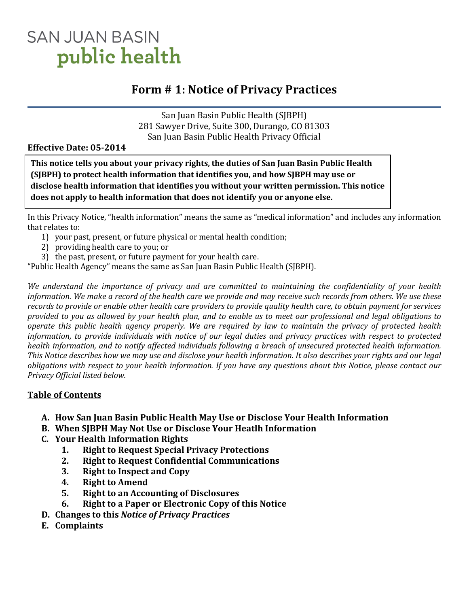# **SAN JUAN BASIN** public health

# **Form # 1: Notice of Privacy Practices**

San Juan Basin Public Health (SJBPH) 281 Sawyer Drive, Suite 300, Durango, CO 81303 San Juan Basin Public Health Privacy Official

#### **Effective Date: 05-2014**

. **This notice tells you about your privacy rights, the duties of San Juan Basin Public Health (SJBPH) to protect health information that identifies you, and how SJBPH may use or disclose health information that identifies you without your written permission. This notice does not apply to health information that does not identify you or anyone else.**

In this Privacy Notice, "health information" means the same as "medical information" and includes any information that relates to:

- 1) your past, present, or future physical or mental health condition;
- 2) providing health care to you; or
- 3) the past, present, or future payment for your health care.

"Public Health Agency" means the same as San Juan Basin Public Health (SJBPH).

*We understand the importance of privacy and are committed to maintaining the confidentiality of your health information. We make a record of the health care we provide and may receive such records from others. We use these records to provide or enable other health care providers to provide quality health care, to obtain payment for services provided to you as allowed by your health plan, and to enable us to meet our professional and legal obligations to operate this public health agency properly. We are required by law to maintain the privacy of protected health information, to provide individuals with notice of our legal duties and privacy practices with respect to protected health information, and to notify affected individuals following a breach of unsecured protected health information. This Notice describes how we may use and disclose your health information. It also describes your rights and our legal obligations with respect to your health information. If you have any questions about this Notice, please contact our Privacy Official listed below.*

## **Table of Contents**

- **A. How San Juan Basin Public Health May Use or Disclose Your Health Information**
- **B. When SJBPH May Not Use or Disclose Your Heatlh Information**
- **C. Your Health Information Rights**
	- **1. Right to Request Special Privacy Protections**
	- **2. Right to Request Confidential Communications**
	- **3. Right to Inspect and Copy**
	- **4. Right to Amend**
	- **5. Right to an Accounting of Disclosures**
	- **6. Right to a Paper or Electronic Copy of this Notice**
- **D. Changes to this** *Notice of Privacy Practices*
- **E. Complaints**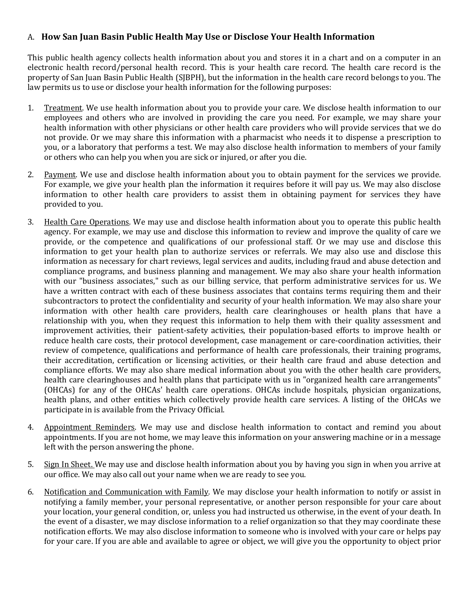#### A. **How San Juan Basin Public Health May Use or Disclose Your Health Information**

This public health agency collects health information about you and stores it in a chart and on a computer in an electronic health record/personal health record. This is your health care record. The health care record is the property of San Juan Basin Public Health (SJBPH), but the information in the health care record belongs to you. The law permits us to use or disclose your health information for the following purposes:

- 1. Treatment. We use health information about you to provide your care. We disclose health information to our employees and others who are involved in providing the care you need. For example, we may share your health information with other physicians or other health care providers who will provide services that we do not provide. Or we may share this information with a pharmacist who needs it to dispense a prescription to you, or a laboratory that performs a test. We may also disclose health information to members of your family or others who can help you when you are sick or injured, or after you die.
- 2. Payment. We use and disclose health information about you to obtain payment for the services we provide. For example, we give your health plan the information it requires before it will pay us. We may also disclose information to other health care providers to assist them in obtaining payment for services they have provided to you.
- 3. Health Care Operations. We may use and disclose health information about you to operate this public health agency. For example, we may use and disclose this information to review and improve the quality of care we provide, or the competence and qualifications of our professional staff. Or we may use and disclose this information to get your health plan to authorize services or referrals. We may also use and disclose this information as necessary for chart reviews, legal services and audits, including fraud and abuse detection and compliance programs, and business planning and management. We may also share your health information with our "business associates," such as our billing service, that perform administrative services for us. We have a written contract with each of these business associates that contains terms requiring them and their subcontractors to protect the confidentiality and security of your health information. We may also share your information with other health care providers, health care clearinghouses or health plans that have a relationship with you, when they request this information to help them with their quality assessment and improvement activities, their patient-safety activities, their population-based efforts to improve health or reduce health care costs, their protocol development, case management or care-coordination activities, their review of competence, qualifications and performance of health care professionals, their training programs, their accreditation, certification or licensing activities, or their health care fraud and abuse detection and compliance efforts. We may also share medical information about you with the other health care providers, health care clearinghouses and health plans that participate with us in "organized health care arrangements" (OHCAs) for any of the OHCAs' health care operations. OHCAs include hospitals, physician organizations, health plans, and other entities which collectively provide health care services. A listing of the OHCAs we participate in is available from the Privacy Official.
- 4. Appointment Reminders. We may use and disclose health information to contact and remind you about appointments. If you are not home, we may leave this information on your answering machine or in a message left with the person answering the phone.
- 5. Sign In Sheet. We may use and disclose health information about you by having you sign in when you arrive at our office. We may also call out your name when we are ready to see you.
- 6. Notification and Communication with Family. We may disclose your health information to notify or assist in notifying a family member, your personal representative, or another person responsible for your care about your location, your general condition, or, unless you had instructed us otherwise, in the event of your death. In the event of a disaster, we may disclose information to a relief organization so that they may coordinate these notification efforts. We may also disclose information to someone who is involved with your care or helps pay for your care. If you are able and available to agree or object, we will give you the opportunity to object prior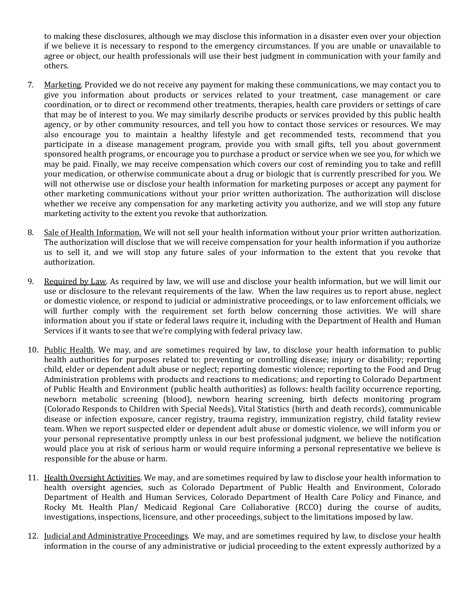to making these disclosures, although we may disclose this information in a disaster even over your objection if we believe it is necessary to respond to the emergency circumstances. If you are unable or unavailable to agree or object, our health professionals will use their best judgment in communication with your family and others.

- 7. Marketing. Provided we do not receive any payment for making these communications, we may contact you to give you information about products or services related to your treatment, case management or care coordination, or to direct or recommend other treatments, therapies, health care providers or settings of care that may be of interest to you. We may similarly describe products or services provided by this public health agency, or by other community resources, and tell you how to contact those services or resources. We may also encourage you to maintain a healthy lifestyle and get recommended tests, recommend that you participate in a disease management program, provide you with small gifts, tell you about government sponsored health programs, or encourage you to purchase a product or service when we see you, for which we may be paid. Finally, we may receive compensation which covers our cost of reminding you to take and refill your medication, or otherwise communicate about a drug or biologic that is currently prescribed for you. We will not otherwise use or disclose your health information for marketing purposes or accept any payment for other marketing communications without your prior written authorization. The authorization will disclose whether we receive any compensation for any marketing activity you authorize, and we will stop any future marketing activity to the extent you revoke that authorization.
- 8. Sale of Health Information. We will not sell your health information without your prior written authorization. The authorization will disclose that we will receive compensation for your health information if you authorize us to sell it, and we will stop any future sales of your information to the extent that you revoke that authorization.
- 9. Required by Law. As required by law, we will use and disclose your health information, but we will limit our use or disclosure to the relevant requirements of the law. When the law requires us to report abuse, neglect or domestic violence, or respond to judicial or administrative proceedings, or to law enforcement officials, we will further comply with the requirement set forth below concerning those activities. We will share information about you if state or federal laws require it, including with the Department of Health and Human Services if it wants to see that we're complying with federal privacy law.
- 10. Public Health. We may, and are sometimes required by law, to disclose your health information to public health authorities for purposes related to: preventing or controlling disease; injury or disability; reporting child, elder or dependent adult abuse or neglect; reporting domestic violence; reporting to the Food and Drug Administration problems with products and reactions to medications; and reporting to Colorado Department of Public Health and Environment (public health authorities) as follows: health facility occurrence reporting, newborn metabolic screening (blood), newborn hearing screening, birth defects monitoring program (Colorado Responds to Children with Special Needs), Vital Statistics (birth and death records), communicable disease or infection exposure, cancer registry, trauma registry, immunization registry, child fatality review team. When we report suspected elder or dependent adult abuse or domestic violence, we will inform you or your personal representative promptly unless in our best professional judgment, we believe the notification would place you at risk of serious harm or would require informing a personal representative we believe is responsible for the abuse or harm.
- 11. Health Oversight Activities. We may, and are sometimes required by law to disclose your health information to health oversight agencies, such as Colorado Department of Public Health and Environment, Colorado Department of Health and Human Services, Colorado Department of Health Care Policy and Finance, and Rocky Mt. Health Plan/ Medicaid Regional Care Collaborative (RCCO) during the course of audits, investigations, inspections, licensure, and other proceedings, subject to the limitations imposed by law.
- 12. Judicial and Administrative Proceedings. We may, and are sometimes required by law, to disclose your health information in the course of any administrative or judicial proceeding to the extent expressly authorized by a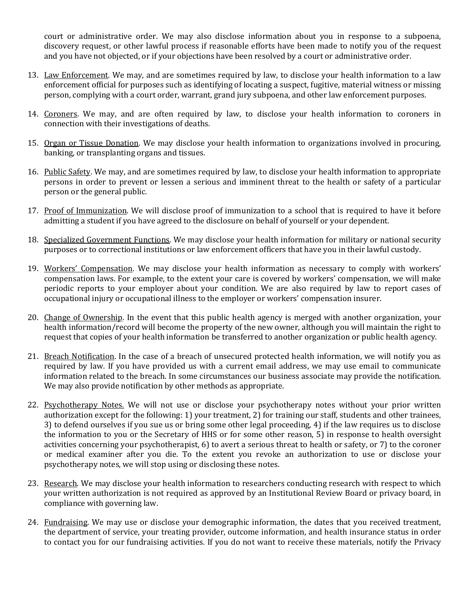court or administrative order. We may also disclose information about you in response to a subpoena, discovery request, or other lawful process if reasonable efforts have been made to notify you of the request and you have not objected, or if your objections have been resolved by a court or administrative order.

- 13. Law Enforcement. We may, and are sometimes required by law, to disclose your health information to a law enforcement official for purposes such as identifying of locating a suspect, fugitive, material witness or missing person, complying with a court order, warrant, grand jury subpoena, and other law enforcement purposes.
- 14. Coroners. We may, and are often required by law, to disclose your health information to coroners in connection with their investigations of deaths.
- 15. Organ or Tissue Donation. We may disclose your health information to organizations involved in procuring, banking, or transplanting organs and tissues.
- 16. Public Safety. We may, and are sometimes required by law, to disclose your health information to appropriate persons in order to prevent or lessen a serious and imminent threat to the health or safety of a particular person or the general public.
- 17. Proof of Immunization. We will disclose proof of immunization to a school that is required to have it before admitting a student if you have agreed to the disclosure on behalf of yourself or your dependent.
- 18. Specialized Government Functions. We may disclose your health information for military or national security purposes or to correctional institutions or law enforcement officers that have you in their lawful custody.
- 19. Workers' Compensation. We may disclose your health information as necessary to comply with workers' compensation laws. For example, to the extent your care is covered by workers' compensation, we will make periodic reports to your employer about your condition. We are also required by law to report cases of occupational injury or occupational illness to the employer or workers' compensation insurer.
- 20. Change of Ownership. In the event that this public health agency is merged with another organization, your health information/record will become the property of the new owner, although you will maintain the right to request that copies of your health information be transferred to another organization or public health agency.
- 21. Breach Notification. In the case of a breach of unsecured protected health information, we will notify you as required by law. If you have provided us with a current email address, we may use email to communicate information related to the breach. In some circumstances our business associate may provide the notification. We may also provide notification by other methods as appropriate.
- 22. Psychotherapy Notes. We will not use or disclose your psychotherapy notes without your prior written authorization except for the following: 1) your treatment, 2) for training our staff, students and other trainees, 3) to defend ourselves if you sue us or bring some other legal proceeding, 4) if the law requires us to disclose the information to you or the Secretary of HHS or for some other reason, 5) in response to health oversight activities concerning your psychotherapist, 6) to avert a serious threat to health or safety, or 7) to the coroner or medical examiner after you die. To the extent you revoke an authorization to use or disclose your psychotherapy notes, we will stop using or disclosing these notes.
- 23. Research. We may disclose your health information to researchers conducting research with respect to which your written authorization is not required as approved by an Institutional Review Board or privacy board, in compliance with governing law.
- 24. Fundraising. We may use or disclose your demographic information, the dates that you received treatment, the department of service, your treating provider, outcome information, and health insurance status in order to contact you for our fundraising activities. If you do not want to receive these materials, notify the Privacy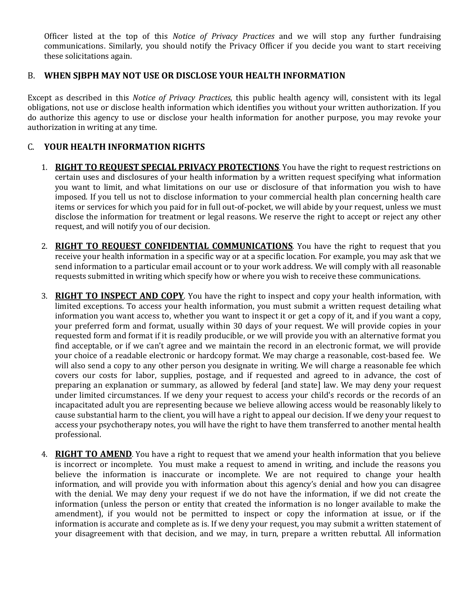Officer listed at the top of this *Notice of Privacy Practices* and we will stop any further fundraising communications. Similarly, you should notify the Privacy Officer if you decide you want to start receiving these solicitations again.

#### B. **WHEN SJBPH MAY NOT USE OR DISCLOSE YOUR HEALTH INFORMATION**

Except as described in this *Notice of Privacy Practices*, this public health agency will, consistent with its legal obligations, not use or disclose health information which identifies you without your written authorization. If you do authorize this agency to use or disclose your health information for another purpose, you may revoke your authorization in writing at any time.

#### C. **YOUR HEALTH INFORMATION RIGHTS**

- 1. **RIGHT TO REQUEST SPECIAL PRIVACY PROTECTIONS**. You have the right to request restrictions on certain uses and disclosures of your health information by a written request specifying what information you want to limit, and what limitations on our use or disclosure of that information you wish to have imposed. If you tell us not to disclose information to your commercial health plan concerning health care items or services for which you paid for in full out-of-pocket, we will abide by your request, unless we must disclose the information for treatment or legal reasons. We reserve the right to accept or reject any other request, and will notify you of our decision.
- 2. **RIGHT TO REQUEST CONFIDENTIAL COMMUNICATIONS**. You have the right to request that you receive your health information in a specific way or at a specific location. For example, you may ask that we send information to a particular email account or to your work address. We will comply with all reasonable requests submitted in writing which specify how or where you wish to receive these communications.
- 3. **RIGHT TO INSPECT AND COPY**. You have the right to inspect and copy your health information, with limited exceptions. To access your health information, you must submit a written request detailing what information you want access to, whether you want to inspect it or get a copy of it, and if you want a copy, your preferred form and format, usually within 30 days of your request. We will provide copies in your requested form and format if it is readily producible, or we will provide you with an alternative format you find acceptable, or if we can't agree and we maintain the record in an electronic format, we will provide your choice of a readable electronic or hardcopy format. We may charge a reasonable, cost-based fee. We will also send a copy to any other person you designate in writing. We will charge a reasonable fee which covers our costs for labor, supplies, postage, and if requested and agreed to in advance, the cost of preparing an explanation or summary, as allowed by federal [and state] law. We may deny your request under limited circumstances. If we deny your request to access your child's records or the records of an incapacitated adult you are representing because we believe allowing access would be reasonably likely to cause substantial harm to the client, you will have a right to appeal our decision. If we deny your request to access your psychotherapy notes, you will have the right to have them transferred to another mental health professional.
- 4. **RIGHT TO AMEND**. You have a right to request that we amend your health information that you believe is incorrect or incomplete. You must make a request to amend in writing, and include the reasons you believe the information is inaccurate or incomplete. We are not required to change your health information, and will provide you with information about this agency's denial and how you can disagree with the denial. We may deny your request if we do not have the information, if we did not create the information (unless the person or entity that created the information is no longer available to make the amendment), if you would not be permitted to inspect or copy the information at issue, or if the information is accurate and complete as is. If we deny your request, you may submit a written statement of your disagreement with that decision, and we may, in turn, prepare a written rebuttal. All information